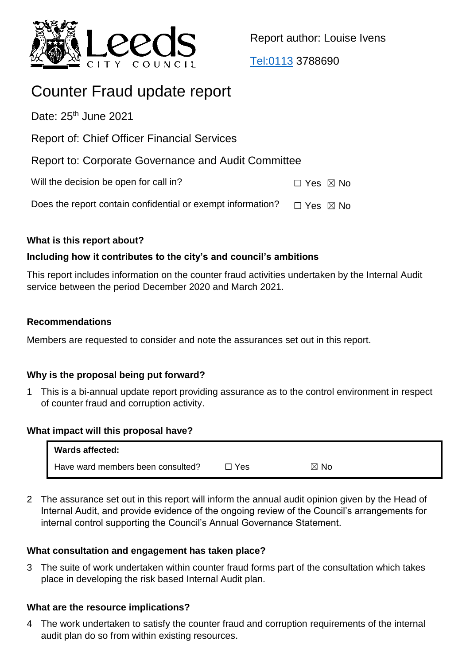

Report author: Louise Ivens

<Tel:0113> 3788690

# Counter Fraud update report

Date: 25<sup>th</sup> June 2021

Report of: Chief Officer Financial Services

Report to: Corporate Governance and Audit Committee

Will the decision be open for call in?  $\Box$  Yes  $\boxtimes$  No

Does the report contain confidential or exempt information?  $\Box$  Yes  $\boxtimes$  No

# **What is this report about?**

# **Including how it contributes to the city's and council's ambitions**

This report includes information on the counter fraud activities undertaken by the Internal Audit service between the period December 2020 and March 2021.

# **Recommendations**

Members are requested to consider and note the assurances set out in this report.

# **Why is the proposal being put forward?**

1 This is a bi-annual update report providing assurance as to the control environment in respect of counter fraud and corruption activity.

# **What impact will this proposal have?**

| Wards affected:                   |       |                |
|-----------------------------------|-------|----------------|
| Have ward members been consulted? | □ Yes | $\boxtimes$ No |

2 The assurance set out in this report will inform the annual audit opinion given by the Head of Internal Audit, and provide evidence of the ongoing review of the Council's arrangements for internal control supporting the Council's Annual Governance Statement.

# **What consultation and engagement has taken place?**

3 The suite of work undertaken within counter fraud forms part of the consultation which takes place in developing the risk based Internal Audit plan.

# **What are the resource implications?**

4 The work undertaken to satisfy the counter fraud and corruption requirements of the internal audit plan do so from within existing resources.